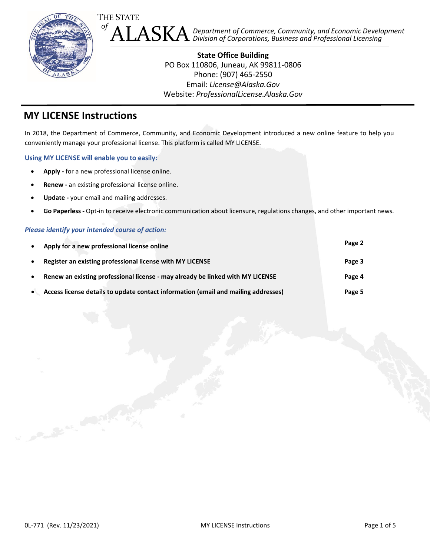

**State Office Building** PO Box 110806, Juneau, AK 99811-0806 Phone: (907) 465-2550 Email: *[License@Alaska.Gov](mailto:license@alaska.gov)* Website: *[ProfessionalLicense.Alaska.Gov](http://professionallicense.alaska.gov/)*

#### **MY LICENSE Instructions**

In 2018, the Department of Commerce, Community, and Economic Development introduced a new online feature to help you conveniently manage your professional license. This platform is called MY LICENSE.

**Using MY LICENSE will enable you to easily:**

- **Apply -** for a new professional license online.
- **Renew -** an existing professional license online.
- **Update -** your email and mailing addresses.
- **Go Paperless -** Opt-in to receive electronic communication about licensure, regulations changes, and other important news.

#### *Please identify your intended course of action:*

| $\bullet$ | Apply for a new professional license online                                        | Page 2 |
|-----------|------------------------------------------------------------------------------------|--------|
| $\bullet$ | Register an existing professional license with MY LICENSE                          | Page 3 |
| $\bullet$ | Renew an existing professional license - may already be linked with MY LICENSE     | Page 4 |
| $\bullet$ | Access license details to update contact information (email and mailing addresses) | Page 5 |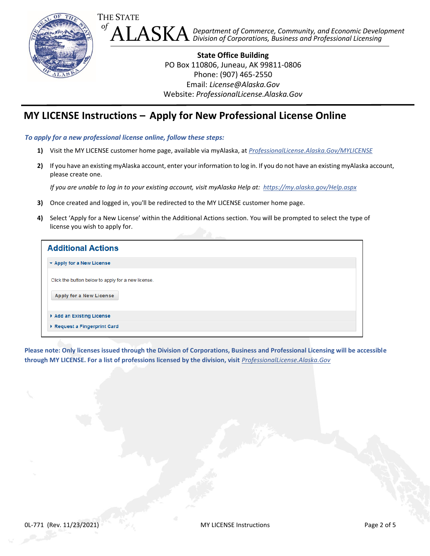

<span id="page-1-0"></span>**State Office Building** PO Box 110806, Juneau, AK 99811-0806 Phone: (907) 465-2550 Email: *[License@Alaska.Gov](mailto:license@alaska.gov)* Website: *[ProfessionalLicense.Alaska.Gov](http://professionallicense.alaska.gov/)*

# **MY LICENSE Instructions – Apply for New Professional License Online**

*To apply for a new professional license online, follow these steps:*

- **1)** Visit the MY LICENSE customer home page, available via myAlaska, at *[ProfessionalLicense.Alaska.Gov/MYLICENSE](https://my.alaska.gov/adfs/ls/?wa=wsignin1.0&wtrealm=https%3a%2f%2fwww.commerce.alaska.gov%2fcbp%2fmain%2fsecure%2f&wctx=rm%3d0%26id%3dpassive%26ru%3d%252fcbp%252fmain%252fSecure&wct=2019-08-16T21%3a13%3a07Z&pubid=CBPLMain)*
- **2)** If you have an existing myAlaska account, enter your information to log in. If you do not have an existing myAlaska account, please create one.

*If you are unable to log in to your existing account, visit myAlaska Help at: <https://my.alaska.gov/Help.aspx>*

- **3)** Once created and logged in, you'll be redirected to the MY LICENSE customer home page.
- **4)** Select 'Apply for a New License' within the Additional Actions section. You will be prompted to select the type of license you wish to apply for.

| <b>Additional Actions</b>                          |  |  |  |  |
|----------------------------------------------------|--|--|--|--|
| $\blacktriangleright$ Apply for a New License      |  |  |  |  |
| Click the button below to apply for a new license. |  |  |  |  |
| Apply for a New License                            |  |  |  |  |
| Add an Existing License                            |  |  |  |  |
| ▶ Request a Fingerprint Card                       |  |  |  |  |

**Please note: Only licenses issued through the Division of Corporations, Business and Professional Licensing will be accessible through MY LICENSE. For a list of professions licensed by the division, visit** *[ProfessionalLicense.Alaska.Gov](http://professionallicense.alaska.gov/)*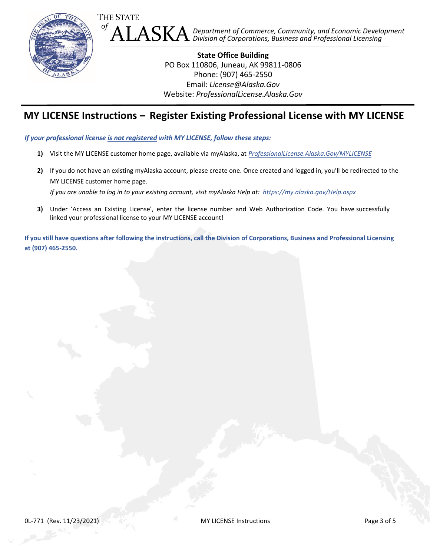

**State Office Building** PO Box 110806, Juneau, AK 99811-0806 Phone: (907) 465-2550 Email: *[License@Alaska.Gov](mailto:license@alaska.gov)* Website: *[ProfessionalLicense.Alaska.Gov](http://professionallicense.alaska.gov/)*

## **MY LICENSE Instructions – Register Existing Professional License with MY LICENSE**

<span id="page-2-0"></span>*If your professional license is not registered with MY LICENSE, follow these steps:*

- **1)** Visit the MY LICENSE customer home page, available via myAlaska, at *[ProfessionalLicense.Alaska.Gov/MYLICENSE](https://my.alaska.gov/adfs/ls/?wa=wsignin1.0&wtrealm=https%3a%2f%2fwww.commerce.alaska.gov%2fcbp%2fmain%2fsecure%2f&wctx=rm%3d0%26id%3dpassive%26ru%3d%252fcbp%252fmain%252fSecure&wct=2019-08-16T21%3a13%3a07Z&pubid=CBPLMain)*
- **2)** If you do not have an existing myAlaska account, please create one. Once created and logged in, you'll be redirected to the MY LICENSE customer home page. *If you are unable to log in to your existing account, visit myAlaska Help at: <https://my.alaska.gov/Help.aspx>*
- **3)** Under 'Access an Existing License', enter the license number and Web Authorization Code. You have successfully linked your professional license to your MY LICENSE account!

**If you still have questions after following the instructions, call the Division of Corporations, Business and Professional Licensing at (907) 465-2550.**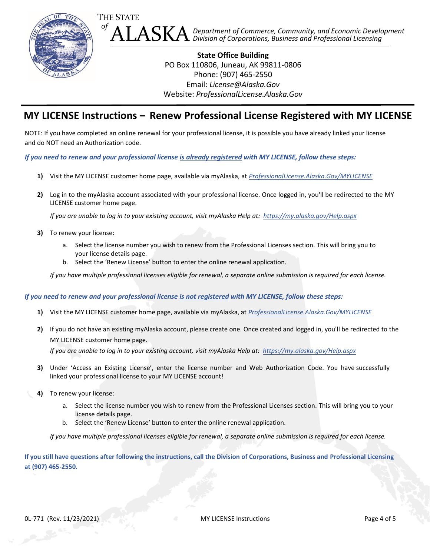

**State Office Building** PO Box 110806, Juneau, AK 99811-0806 Phone: (907) 465-2550 Email: *[License@Alaska.Gov](mailto:license@alaska.gov)* Website: *[ProfessionalLicense.Alaska.Gov](http://professionallicense.alaska.gov/)*

## **MY LICENSE Instructions – Renew Professional License Registered with MY LICENSE**

<span id="page-3-0"></span>NOTE: If you have completed an online renewal for your professional license, it is possible you have already linked your license and do NOT need an Authorization code.

*If you need to renew and your professional license is already registered with MY LICENSE, follow these steps:*

- **1)** Visit the MY LICENSE customer home page, available via myAlaska, at *[ProfessionalLicense.Alaska.Gov/MYLICENSE](https://my.alaska.gov/adfs/ls/?wa=wsignin1.0&wtrealm=https%3a%2f%2fwww.commerce.alaska.gov%2fcbp%2fmain%2fsecure%2f&wctx=rm%3d0%26id%3dpassive%26ru%3d%252fcbp%252fmain%252fSecure&wct=2019-08-16T21%3a13%3a07Z&pubid=CBPLMain)*
- **2)** Log in to the myAlaska account associated with your professional license. Once logged in, you'll be redirected to the MY LICENSE customer home page.

*If you are unable to log in to your existing account, visit myAlaska Help at: <https://my.alaska.gov/Help.aspx>*

- **3)** To renew your license:
	- a. Select the license number you wish to renew from the Professional Licenses section. This will bring you to your license details page.
	- b. Select the 'Renew License' button to enter the online renewal application.

*If you have multiple professional licenses eligible for renewal, a separate online submission is required for each license.* 

#### *If you need to renew and your professional license is not registered with MY LICENSE, follow these steps:*

- **1)** Visit the MY LICENSE customer home page, available via myAlaska, at *[ProfessionalLicense.Alaska.Gov/MYLICENSE](https://my.alaska.gov/adfs/ls/?wa=wsignin1.0&wtrealm=https%3a%2f%2fwww.commerce.alaska.gov%2fcbp%2fmain%2fsecure%2f&wctx=rm%3d0%26id%3dpassive%26ru%3d%252fcbp%252fmain%252fSecure&wct=2019-08-16T21%3a13%3a07Z&pubid=CBPLMain)*
- **2)** If you do not have an existing myAlaska account, please create one. Once created and logged in, you'll be redirected to the MY LICENSE customer home page. *If you are unable to log in to your existing account, visit myAlaska Help at: <https://my.alaska.gov/Help.aspx>*
- **3)** Under 'Access an Existing License', enter the license number and Web Authorization Code. You have successfully linked your professional license to your MY LICENSE account!
- **4)** To renew your license:
	- a. Select the license number you wish to renew from the Professional Licenses section. This will bring you to your license details page.
	- b. Select the 'Renew License' button to enter the online renewal application.

*If you have multiple professional licenses eligible for renewal, a separate online submission is required for each license.* 

**If you still have questions after following the instructions, call the Division of Corporations, Business and Professional Licensing at (907) 465-2550.**